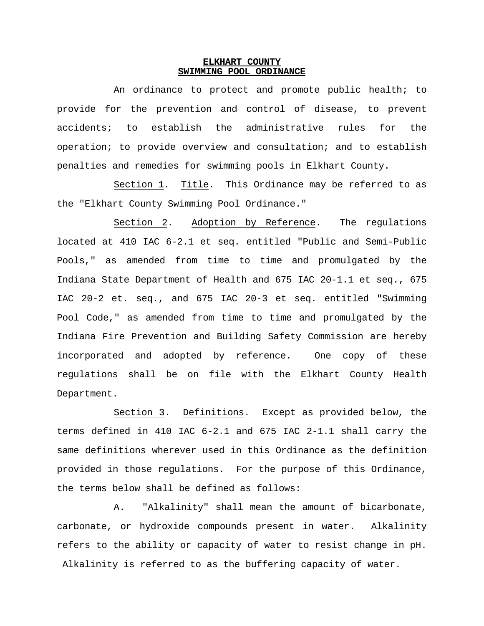## **ELKHART COUNTY SWIMMING POOL ORDINANCE**

 An ordinance to protect and promote public health; to provide for the prevention and control of disease, to prevent accidents; to establish the administrative rules for the operation; to provide overview and consultation; and to establish penalties and remedies for swimming pools in Elkhart County.

 Section 1. Title. This Ordinance may be referred to as the "Elkhart County Swimming Pool Ordinance."

 Section 2. Adoption by Reference. The regulations located at 410 IAC 6-2.1 et seq. entitled "Public and Semi-Public Pools," as amended from time to time and promulgated by the Indiana State Department of Health and 675 IAC 20-1.1 et seq., 675 IAC 20-2 et. seq., and 675 IAC 20-3 et seq. entitled "Swimming Pool Code," as amended from time to time and promulgated by the Indiana Fire Prevention and Building Safety Commission are hereby incorporated and adopted by reference. One copy of these regulations shall be on file with the Elkhart County Health Department.

 Section 3. Definitions. Except as provided below, the terms defined in 410 IAC 6-2.1 and 675 IAC 2-1.1 shall carry the same definitions wherever used in this Ordinance as the definition provided in those regulations. For the purpose of this Ordinance, the terms below shall be defined as follows:

 A. "Alkalinity" shall mean the amount of bicarbonate, carbonate, or hydroxide compounds present in water. Alkalinity refers to the ability or capacity of water to resist change in pH. Alkalinity is referred to as the buffering capacity of water.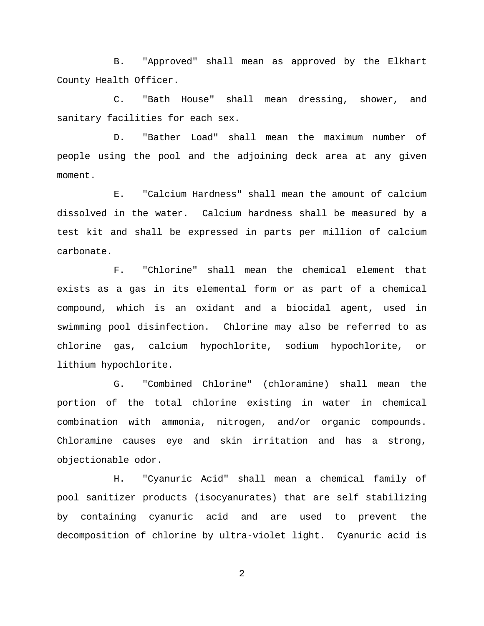B. "Approved" shall mean as approved by the Elkhart County Health Officer.

 C. "Bath House" shall mean dressing, shower, and sanitary facilities for each sex.

 D. "Bather Load" shall mean the maximum number of people using the pool and the adjoining deck area at any given moment.

 E. "Calcium Hardness" shall mean the amount of calcium dissolved in the water. Calcium hardness shall be measured by a test kit and shall be expressed in parts per million of calcium carbonate.

 F. "Chlorine" shall mean the chemical element that exists as a gas in its elemental form or as part of a chemical compound, which is an oxidant and a biocidal agent, used in swimming pool disinfection. Chlorine may also be referred to as chlorine gas, calcium hypochlorite, sodium hypochlorite, or lithium hypochlorite.

 G. "Combined Chlorine" (chloramine) shall mean the portion of the total chlorine existing in water in chemical combination with ammonia, nitrogen, and/or organic compounds. Chloramine causes eye and skin irritation and has a strong, objectionable odor.

 H. "Cyanuric Acid" shall mean a chemical family of pool sanitizer products (isocyanurates) that are self stabilizing by containing cyanuric acid and are used to prevent the decomposition of chlorine by ultra-violet light. Cyanuric acid is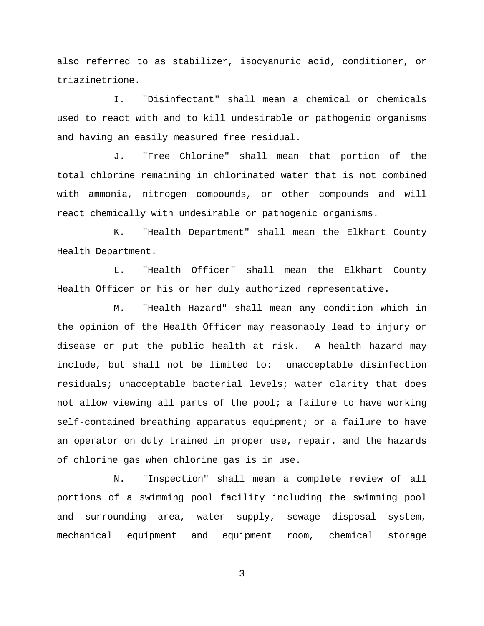also referred to as stabilizer, isocyanuric acid, conditioner, or triazinetrione.

 I. "Disinfectant" shall mean a chemical or chemicals used to react with and to kill undesirable or pathogenic organisms and having an easily measured free residual.

 J. "Free Chlorine" shall mean that portion of the total chlorine remaining in chlorinated water that is not combined with ammonia, nitrogen compounds, or other compounds and will react chemically with undesirable or pathogenic organisms.

 K. "Health Department" shall mean the Elkhart County Health Department.

 L. "Health Officer" shall mean the Elkhart County Health Officer or his or her duly authorized representative.

 M. "Health Hazard" shall mean any condition which in the opinion of the Health Officer may reasonably lead to injury or disease or put the public health at risk. A health hazard may include, but shall not be limited to: unacceptable disinfection residuals; unacceptable bacterial levels; water clarity that does not allow viewing all parts of the pool; a failure to have working self-contained breathing apparatus equipment; or a failure to have an operator on duty trained in proper use, repair, and the hazards of chlorine gas when chlorine gas is in use.

 N. "Inspection" shall mean a complete review of all portions of a swimming pool facility including the swimming pool and surrounding area, water supply, sewage disposal system, mechanical equipment and equipment room, chemical storage

 $\sim$  3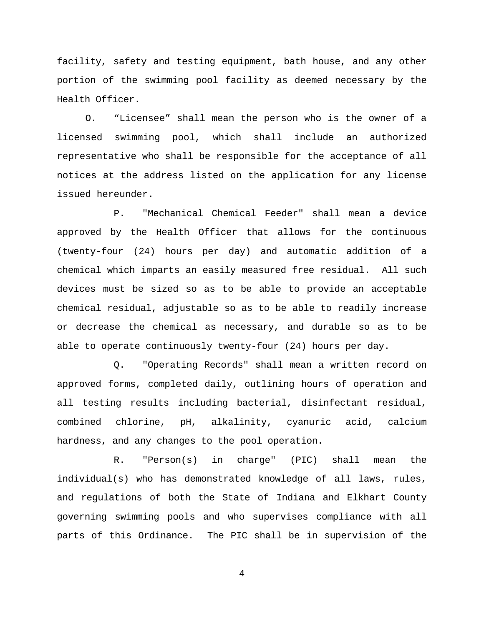facility, safety and testing equipment, bath house, and any other portion of the swimming pool facility as deemed necessary by the Health Officer.

 O. "Licensee" shall mean the person who is the owner of a licensed swimming pool, which shall include an authorized representative who shall be responsible for the acceptance of all notices at the address listed on the application for any license issued hereunder.

 P. "Mechanical Chemical Feeder" shall mean a device approved by the Health Officer that allows for the continuous (twenty-four (24) hours per day) and automatic addition of a chemical which imparts an easily measured free residual. All such devices must be sized so as to be able to provide an acceptable chemical residual, adjustable so as to be able to readily increase or decrease the chemical as necessary, and durable so as to be able to operate continuously twenty-four (24) hours per day.

 Q. "Operating Records" shall mean a written record on approved forms, completed daily, outlining hours of operation and all testing results including bacterial, disinfectant residual, combined chlorine, pH, alkalinity, cyanuric acid, calcium hardness, and any changes to the pool operation.

 R. "Person(s) in charge" (PIC) shall mean the individual(s) who has demonstrated knowledge of all laws, rules, and regulations of both the State of Indiana and Elkhart County governing swimming pools and who supervises compliance with all parts of this Ordinance. The PIC shall be in supervision of the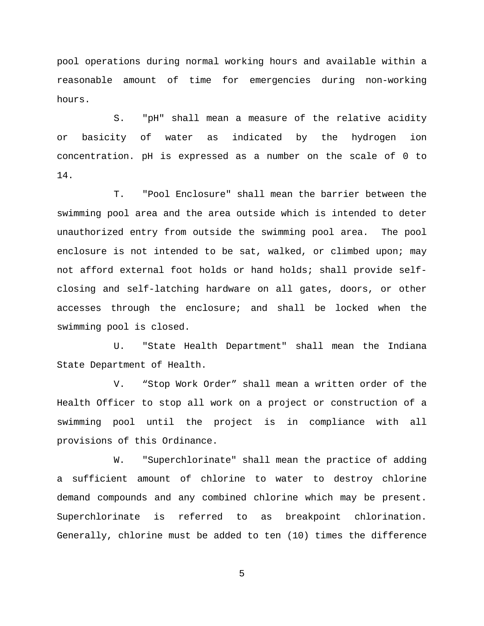pool operations during normal working hours and available within a reasonable amount of time for emergencies during non-working hours.

 S. "pH" shall mean a measure of the relative acidity or basicity of water as indicated by the hydrogen ion concentration. pH is expressed as a number on the scale of 0 to 14.

 T. "Pool Enclosure" shall mean the barrier between the swimming pool area and the area outside which is intended to deter unauthorized entry from outside the swimming pool area. The pool enclosure is not intended to be sat, walked, or climbed upon; may not afford external foot holds or hand holds; shall provide selfclosing and self-latching hardware on all gates, doors, or other accesses through the enclosure; and shall be locked when the swimming pool is closed.

 U. "State Health Department" shall mean the Indiana State Department of Health.

 V. "Stop Work Order" shall mean a written order of the Health Officer to stop all work on a project or construction of a swimming pool until the project is in compliance with all provisions of this Ordinance.

 W. "Superchlorinate" shall mean the practice of adding a sufficient amount of chlorine to water to destroy chlorine demand compounds and any combined chlorine which may be present. Superchlorinate is referred to as breakpoint chlorination. Generally, chlorine must be added to ten (10) times the difference

 $\sim$  5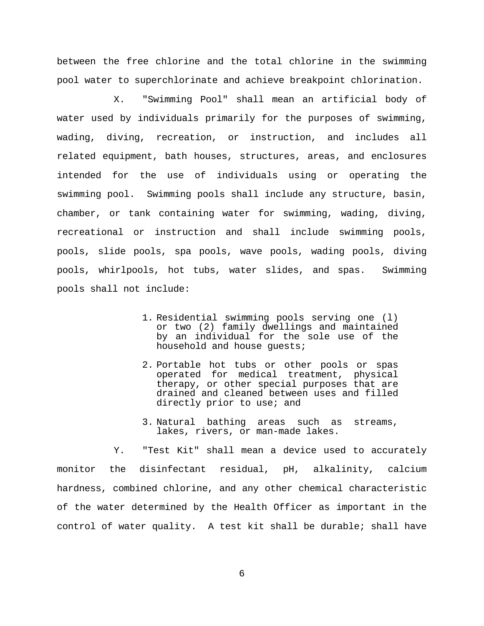between the free chlorine and the total chlorine in the swimming pool water to superchlorinate and achieve breakpoint chlorination.

 X. "Swimming Pool" shall mean an artificial body of water used by individuals primarily for the purposes of swimming, wading, diving, recreation, or instruction, and includes all related equipment, bath houses, structures, areas, and enclosures intended for the use of individuals using or operating the swimming pool. Swimming pools shall include any structure, basin, chamber, or tank containing water for swimming, wading, diving, recreational or instruction and shall include swimming pools, pools, slide pools, spa pools, wave pools, wading pools, diving pools, whirlpools, hot tubs, water slides, and spas. Swimming pools shall not include:

- 1. Residential swimming pools serving one (l) or two (2) family dwellings and maintained by an individual for the sole use of the household and house guests;
- 2. Portable hot tubs or other pools or spas operated for medical treatment, physical therapy, or other special purposes that are drained and cleaned between uses and filled directly prior to use; and
- 3. Natural bathing areas such as streams, lakes, rivers, or man-made lakes.

 Y. "Test Kit" shall mean a device used to accurately monitor the disinfectant residual, pH, alkalinity, calcium hardness, combined chlorine, and any other chemical characteristic of the water determined by the Health Officer as important in the control of water quality. A test kit shall be durable; shall have

 $\sim$  6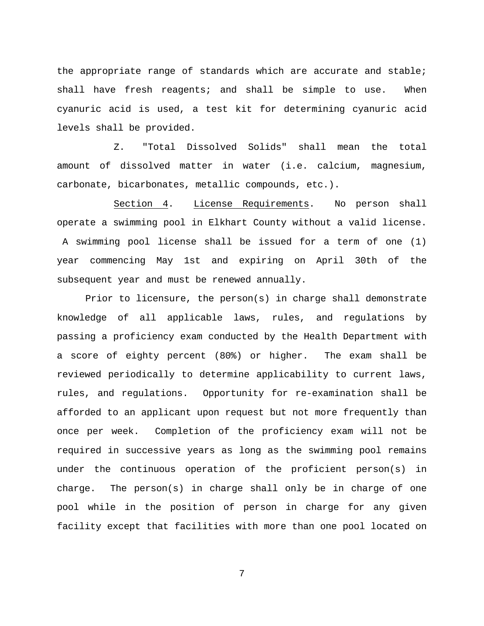the appropriate range of standards which are accurate and stable; shall have fresh reagents; and shall be simple to use. When cyanuric acid is used, a test kit for determining cyanuric acid levels shall be provided.

 Z. "Total Dissolved Solids" shall mean the total amount of dissolved matter in water (i.e. calcium, magnesium, carbonate, bicarbonates, metallic compounds, etc.).

 Section 4. License Requirements. No person shall operate a swimming pool in Elkhart County without a valid license. A swimming pool license shall be issued for a term of one (1) year commencing May 1st and expiring on April 30th of the subsequent year and must be renewed annually.

 Prior to licensure, the person(s) in charge shall demonstrate knowledge of all applicable laws, rules, and regulations by passing a proficiency exam conducted by the Health Department with a score of eighty percent (80%) or higher. The exam shall be reviewed periodically to determine applicability to current laws, rules, and regulations. Opportunity for re-examination shall be afforded to an applicant upon request but not more frequently than once per week. Completion of the proficiency exam will not be required in successive years as long as the swimming pool remains under the continuous operation of the proficient person(s) in charge. The person(s) in charge shall only be in charge of one pool while in the position of person in charge for any given facility except that facilities with more than one pool located on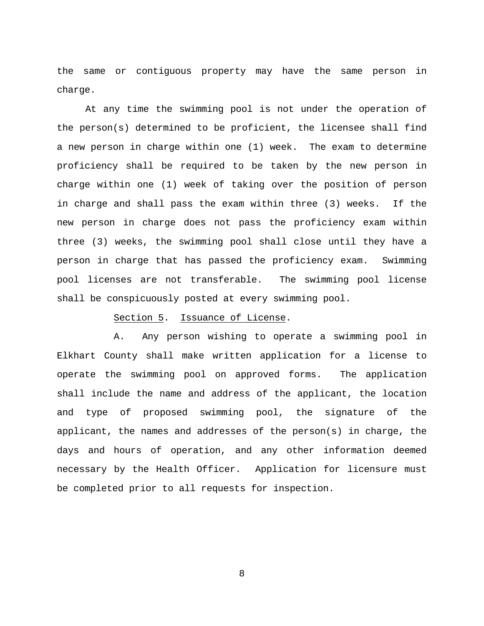the same or contiguous property may have the same person in charge.

 At any time the swimming pool is not under the operation of the person(s) determined to be proficient, the licensee shall find a new person in charge within one (1) week. The exam to determine proficiency shall be required to be taken by the new person in charge within one (1) week of taking over the position of person in charge and shall pass the exam within three (3) weeks. If the new person in charge does not pass the proficiency exam within three (3) weeks, the swimming pool shall close until they have a person in charge that has passed the proficiency exam. Swimming pool licenses are not transferable. The swimming pool license shall be conspicuously posted at every swimming pool.

## Section 5. Issuance of License.

 A. Any person wishing to operate a swimming pool in Elkhart County shall make written application for a license to operate the swimming pool on approved forms. The application shall include the name and address of the applicant, the location and type of proposed swimming pool, the signature of the applicant, the names and addresses of the person(s) in charge, the days and hours of operation, and any other information deemed necessary by the Health Officer. Application for licensure must be completed prior to all requests for inspection.

experience of the state of the state of the state of the state of the state of the state of the state of the s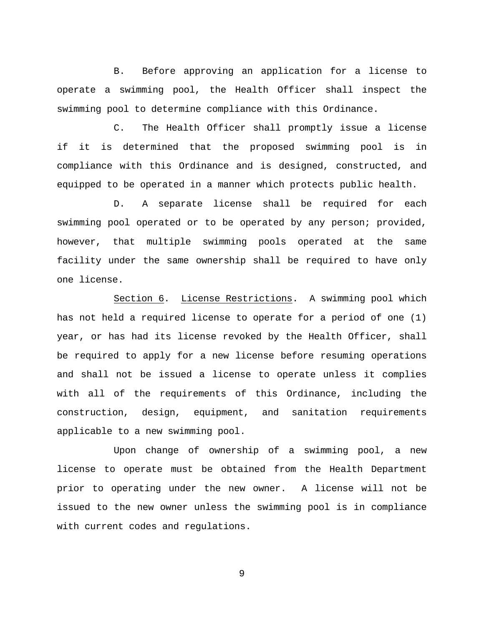B. Before approving an application for a license to operate a swimming pool, the Health Officer shall inspect the swimming pool to determine compliance with this Ordinance.

 C. The Health Officer shall promptly issue a license if it is determined that the proposed swimming pool is in compliance with this Ordinance and is designed, constructed, and equipped to be operated in a manner which protects public health.

 D. A separate license shall be required for each swimming pool operated or to be operated by any person; provided, however, that multiple swimming pools operated at the same facility under the same ownership shall be required to have only one license.

 Section 6. License Restrictions. A swimming pool which has not held a required license to operate for a period of one (1) year, or has had its license revoked by the Health Officer, shall be required to apply for a new license before resuming operations and shall not be issued a license to operate unless it complies with all of the requirements of this Ordinance, including the construction, design, equipment, and sanitation requirements applicable to a new swimming pool.

 Upon change of ownership of a swimming pool, a new license to operate must be obtained from the Health Department prior to operating under the new owner. A license will not be issued to the new owner unless the swimming pool is in compliance with current codes and regulations.

9 and 2012 and 2013 and 2014 and 2014 and 2014 and 2014 and 2014 and 2014 and 2014 and 2014 and 2014 and 2014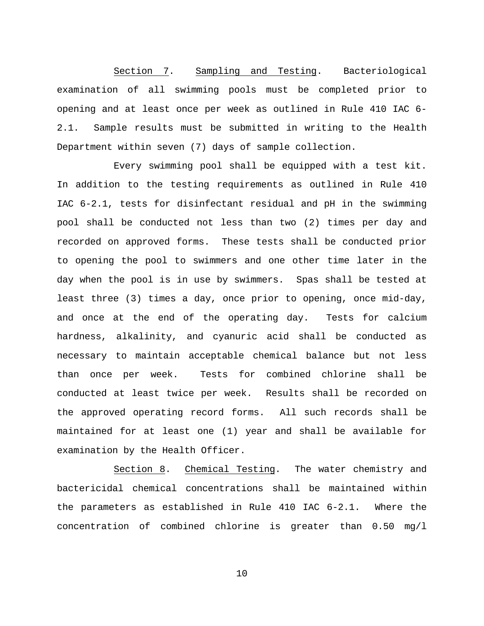Section 7. Sampling and Testing. Bacteriological examination of all swimming pools must be completed prior to opening and at least once per week as outlined in Rule 410 IAC 6- 2.1. Sample results must be submitted in writing to the Health Department within seven (7) days of sample collection.

 Every swimming pool shall be equipped with a test kit. In addition to the testing requirements as outlined in Rule 410 IAC 6-2.1, tests for disinfectant residual and pH in the swimming pool shall be conducted not less than two (2) times per day and recorded on approved forms. These tests shall be conducted prior to opening the pool to swimmers and one other time later in the day when the pool is in use by swimmers. Spas shall be tested at least three (3) times a day, once prior to opening, once mid-day, and once at the end of the operating day. Tests for calcium hardness, alkalinity, and cyanuric acid shall be conducted as necessary to maintain acceptable chemical balance but not less than once per week. Tests for combined chlorine shall be conducted at least twice per week. Results shall be recorded on the approved operating record forms. All such records shall be maintained for at least one (1) year and shall be available for examination by the Health Officer.

 Section 8. Chemical Testing. The water chemistry and bactericidal chemical concentrations shall be maintained within the parameters as established in Rule 410 IAC 6-2.1. Where the concentration of combined chlorine is greater than 0.50 mg/l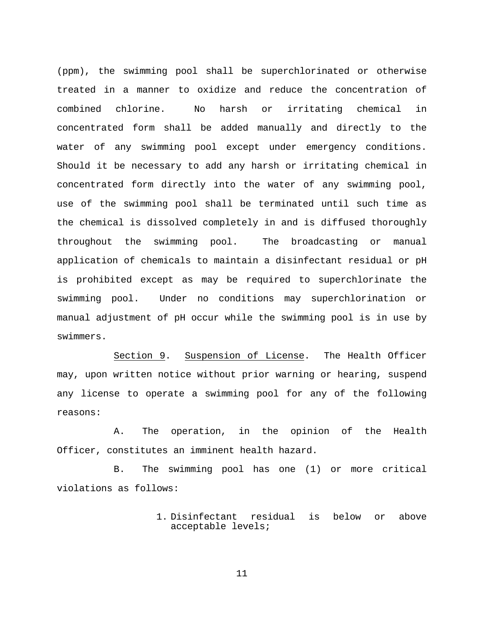(ppm), the swimming pool shall be superchlorinated or otherwise treated in a manner to oxidize and reduce the concentration of combined chlorine. No harsh or irritating chemical in concentrated form shall be added manually and directly to the water of any swimming pool except under emergency conditions. Should it be necessary to add any harsh or irritating chemical in concentrated form directly into the water of any swimming pool, use of the swimming pool shall be terminated until such time as the chemical is dissolved completely in and is diffused thoroughly throughout the swimming pool. The broadcasting or manual application of chemicals to maintain a disinfectant residual or pH is prohibited except as may be required to superchlorinate the swimming pool. Under no conditions may superchlorination or manual adjustment of pH occur while the swimming pool is in use by swimmers.

 Section 9. Suspension of License. The Health Officer may, upon written notice without prior warning or hearing, suspend any license to operate a swimming pool for any of the following reasons:

 A. The operation, in the opinion of the Health Officer, constitutes an imminent health hazard.

 B. The swimming pool has one (1) or more critical violations as follows:

> 1. Disinfectant residual is below or above acceptable levels;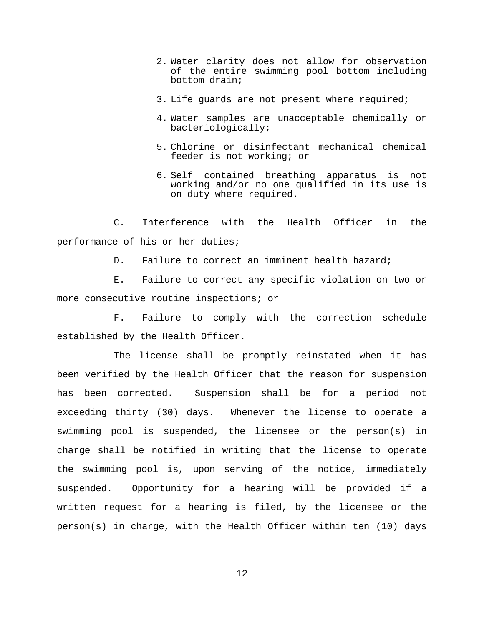- 2. Water clarity does not allow for observation of the entire swimming pool bottom including bottom drain;
- 3. Life guards are not present where required;
- 4. Water samples are unacceptable chemically or bacteriologically;
- 5. Chlorine or disinfectant mechanical chemical feeder is not working; or
- 6. Self contained breathing apparatus is not working and/or no one qualified in its use is on duty where required.

 C. Interference with the Health Officer in the performance of his or her duties;

D. Failure to correct an imminent health hazard;

 E. Failure to correct any specific violation on two or more consecutive routine inspections; or

 F. Failure to comply with the correction schedule established by the Health Officer.

 The license shall be promptly reinstated when it has been verified by the Health Officer that the reason for suspension has been corrected. Suspension shall be for a period not exceeding thirty (30) days. Whenever the license to operate a swimming pool is suspended, the licensee or the person(s) in charge shall be notified in writing that the license to operate the swimming pool is, upon serving of the notice, immediately suspended. Opportunity for a hearing will be provided if a written request for a hearing is filed, by the licensee or the person(s) in charge, with the Health Officer within ten (10) days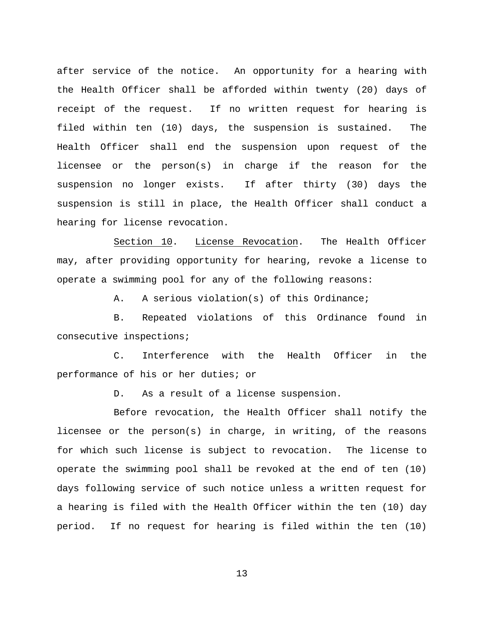after service of the notice. An opportunity for a hearing with the Health Officer shall be afforded within twenty (20) days of receipt of the request. If no written request for hearing is filed within ten (10) days, the suspension is sustained. The Health Officer shall end the suspension upon request of the licensee or the person(s) in charge if the reason for the suspension no longer exists. If after thirty (30) days the suspension is still in place, the Health Officer shall conduct a hearing for license revocation.

 Section 10. License Revocation. The Health Officer may, after providing opportunity for hearing, revoke a license to operate a swimming pool for any of the following reasons:

A. A serious violation(s) of this Ordinance;

 B. Repeated violations of this Ordinance found in consecutive inspections;

 C. Interference with the Health Officer in the performance of his or her duties; or

D. As a result of a license suspension.

 Before revocation, the Health Officer shall notify the licensee or the person(s) in charge, in writing, of the reasons for which such license is subject to revocation. The license to operate the swimming pool shall be revoked at the end of ten (10) days following service of such notice unless a written request for a hearing is filed with the Health Officer within the ten (10) day period. If no request for hearing is filed within the ten (10)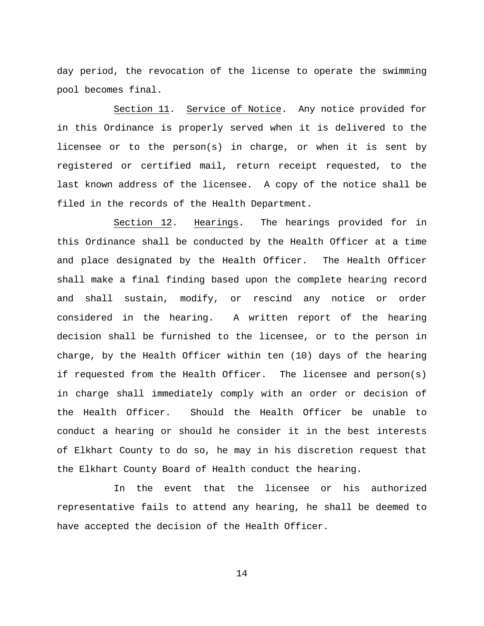day period, the revocation of the license to operate the swimming pool becomes final.

 Section 11. Service of Notice. Any notice provided for in this Ordinance is properly served when it is delivered to the licensee or to the person(s) in charge, or when it is sent by registered or certified mail, return receipt requested, to the last known address of the licensee. A copy of the notice shall be filed in the records of the Health Department.

 Section 12. Hearings. The hearings provided for in this Ordinance shall be conducted by the Health Officer at a time and place designated by the Health Officer. The Health Officer shall make a final finding based upon the complete hearing record and shall sustain, modify, or rescind any notice or order considered in the hearing. A written report of the hearing decision shall be furnished to the licensee, or to the person in charge, by the Health Officer within ten (10) days of the hearing if requested from the Health Officer. The licensee and person(s) in charge shall immediately comply with an order or decision of the Health Officer. Should the Health Officer be unable to conduct a hearing or should he consider it in the best interests of Elkhart County to do so, he may in his discretion request that the Elkhart County Board of Health conduct the hearing.

 In the event that the licensee or his authorized representative fails to attend any hearing, he shall be deemed to have accepted the decision of the Health Officer.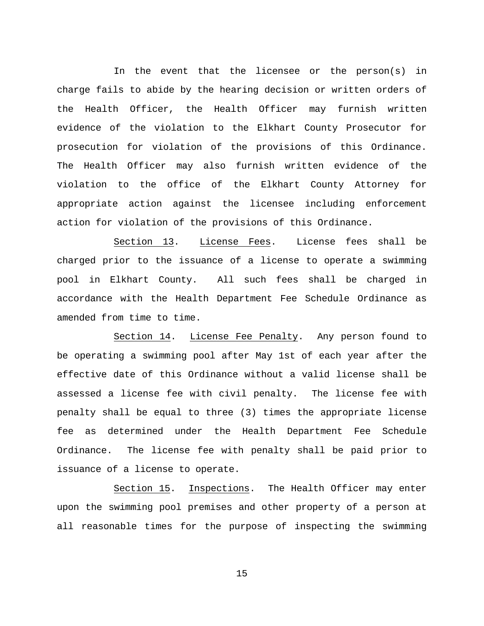In the event that the licensee or the person(s) in charge fails to abide by the hearing decision or written orders of the Health Officer, the Health Officer may furnish written evidence of the violation to the Elkhart County Prosecutor for prosecution for violation of the provisions of this Ordinance. The Health Officer may also furnish written evidence of the violation to the office of the Elkhart County Attorney for appropriate action against the licensee including enforcement action for violation of the provisions of this Ordinance.

 Section 13. License Fees. License fees shall be charged prior to the issuance of a license to operate a swimming pool in Elkhart County. All such fees shall be charged in accordance with the Health Department Fee Schedule Ordinance as amended from time to time.

 Section 14. License Fee Penalty. Any person found to be operating a swimming pool after May 1st of each year after the effective date of this Ordinance without a valid license shall be assessed a license fee with civil penalty. The license fee with penalty shall be equal to three (3) times the appropriate license fee as determined under the Health Department Fee Schedule Ordinance. The license fee with penalty shall be paid prior to issuance of a license to operate.

 Section 15. Inspections. The Health Officer may enter upon the swimming pool premises and other property of a person at all reasonable times for the purpose of inspecting the swimming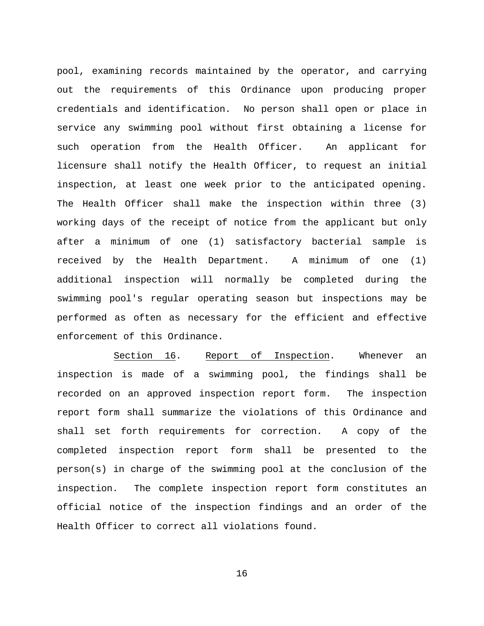pool, examining records maintained by the operator, and carrying out the requirements of this Ordinance upon producing proper credentials and identification. No person shall open or place in service any swimming pool without first obtaining a license for such operation from the Health Officer. An applicant for licensure shall notify the Health Officer, to request an initial inspection, at least one week prior to the anticipated opening. The Health Officer shall make the inspection within three (3) working days of the receipt of notice from the applicant but only after a minimum of one (1) satisfactory bacterial sample is received by the Health Department. A minimum of one (1) additional inspection will normally be completed during the swimming pool's regular operating season but inspections may be performed as often as necessary for the efficient and effective enforcement of this Ordinance.

 Section 16. Report of Inspection. Whenever an inspection is made of a swimming pool, the findings shall be recorded on an approved inspection report form. The inspection report form shall summarize the violations of this Ordinance and shall set forth requirements for correction. A copy of the completed inspection report form shall be presented to the person(s) in charge of the swimming pool at the conclusion of the inspection. The complete inspection report form constitutes an official notice of the inspection findings and an order of the Health Officer to correct all violations found.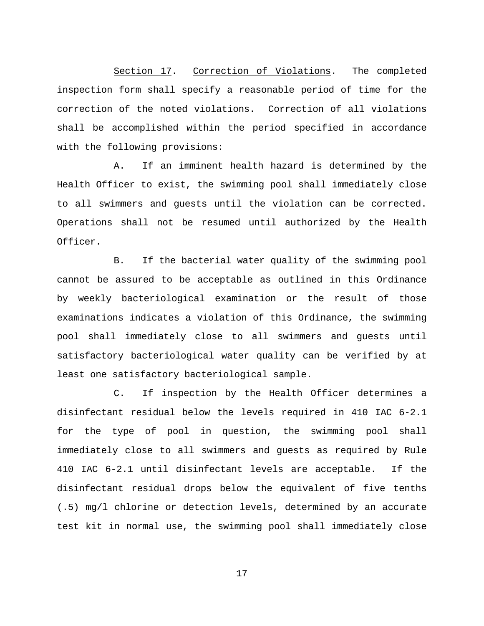Section 17. Correction of Violations. The completed inspection form shall specify a reasonable period of time for the correction of the noted violations. Correction of all violations shall be accomplished within the period specified in accordance with the following provisions:

 A. If an imminent health hazard is determined by the Health Officer to exist, the swimming pool shall immediately close to all swimmers and guests until the violation can be corrected. Operations shall not be resumed until authorized by the Health Officer.

 B. If the bacterial water quality of the swimming pool cannot be assured to be acceptable as outlined in this Ordinance by weekly bacteriological examination or the result of those examinations indicates a violation of this Ordinance, the swimming pool shall immediately close to all swimmers and guests until satisfactory bacteriological water quality can be verified by at least one satisfactory bacteriological sample.

 C. If inspection by the Health Officer determines a disinfectant residual below the levels required in 410 IAC 6-2.1 for the type of pool in question, the swimming pool shall immediately close to all swimmers and guests as required by Rule 410 IAC 6-2.1 until disinfectant levels are acceptable. If the disinfectant residual drops below the equivalent of five tenths (.5) mg/l chlorine or detection levels, determined by an accurate test kit in normal use, the swimming pool shall immediately close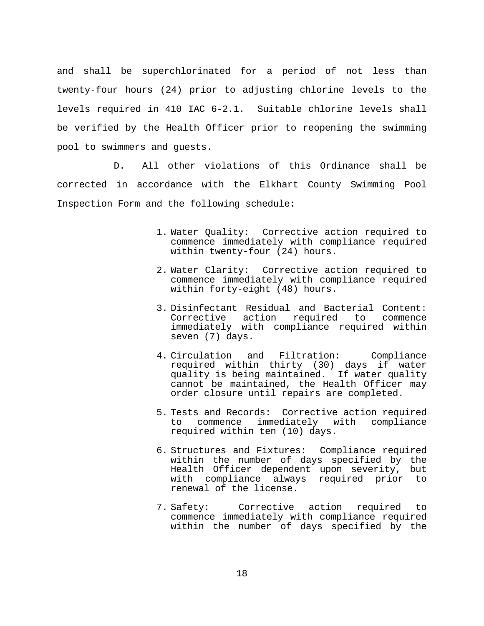and shall be superchlorinated for a period of not less than twenty-four hours (24) prior to adjusting chlorine levels to the levels required in 410 IAC 6-2.1. Suitable chlorine levels shall be verified by the Health Officer prior to reopening the swimming pool to swimmers and guests.

 D. All other violations of this Ordinance shall be corrected in accordance with the Elkhart County Swimming Pool Inspection Form and the following schedule:

- 1. Water Quality: Corrective action required to commence immediately with compliance required within twenty-four (24) hours.
- 2. Water Clarity: Corrective action required to commence immediately with compliance required within forty-eight (48) hours.
- 3. Disinfectant Residual and Bacterial Content: Corrective action required to commence immediately with compliance required within seven (7) days.
- 4. Circulation and Filtration: Compliance required within thirty (30) days if water quality is being maintained. If water quality cannot be maintained, the Health Officer may order closure until repairs are completed.
- 5. Tests and Records: Corrective action required to commence immediately with compliance required within ten (10) days.
- 6. Structures and Fixtures: Compliance required within the number of days specified by the Health Officer dependent upon severity, but with compliance always required prior to renewal of the license.
- 7. Safety: Corrective action required to commence immediately with compliance required within the number of days specified by the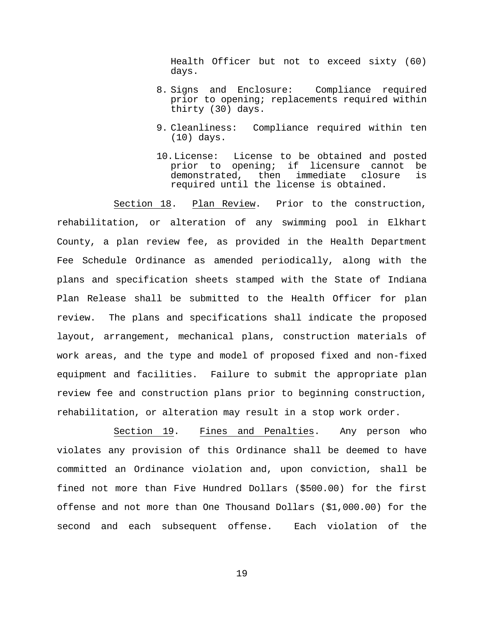Health Officer but not to exceed sixty (60) days.

- 8. Signs and Enclosure: Compliance required prior to opening; replacements required within thirty (30) days.
- 9. Cleanliness: Compliance required within ten (10) days.
- 10. License: License to be obtained and posted prior to opening; if licensure cannot be demonstrated, then immediate closure is required until the license is obtained.

 Section 18. Plan Review. Prior to the construction, rehabilitation, or alteration of any swimming pool in Elkhart County, a plan review fee, as provided in the Health Department Fee Schedule Ordinance as amended periodically, along with the plans and specification sheets stamped with the State of Indiana Plan Release shall be submitted to the Health Officer for plan review. The plans and specifications shall indicate the proposed layout, arrangement, mechanical plans, construction materials of work areas, and the type and model of proposed fixed and non-fixed equipment and facilities. Failure to submit the appropriate plan review fee and construction plans prior to beginning construction, rehabilitation, or alteration may result in a stop work order.

 Section 19. Fines and Penalties. Any person who violates any provision of this Ordinance shall be deemed to have committed an Ordinance violation and, upon conviction, shall be fined not more than Five Hundred Dollars (\$500.00) for the first offense and not more than One Thousand Dollars (\$1,000.00) for the second and each subsequent offense. Each violation of the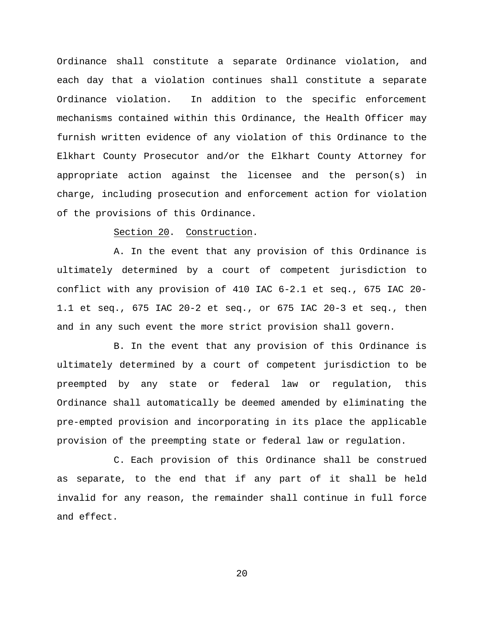Ordinance shall constitute a separate Ordinance violation, and each day that a violation continues shall constitute a separate Ordinance violation. In addition to the specific enforcement mechanisms contained within this Ordinance, the Health Officer may furnish written evidence of any violation of this Ordinance to the Elkhart County Prosecutor and/or the Elkhart County Attorney for appropriate action against the licensee and the person(s) in charge, including prosecution and enforcement action for violation of the provisions of this Ordinance.

## Section 20. Construction.

 A. In the event that any provision of this Ordinance is ultimately determined by a court of competent jurisdiction to conflict with any provision of 410 IAC 6-2.1 et seq., 675 IAC 20- 1.1 et seq., 675 IAC 20-2 et seq., or 675 IAC 20-3 et seq., then and in any such event the more strict provision shall govern.

 B. In the event that any provision of this Ordinance is ultimately determined by a court of competent jurisdiction to be preempted by any state or federal law or regulation, this Ordinance shall automatically be deemed amended by eliminating the pre-empted provision and incorporating in its place the applicable provision of the preempting state or federal law or regulation.

 C. Each provision of this Ordinance shall be construed as separate, to the end that if any part of it shall be held invalid for any reason, the remainder shall continue in full force and effect.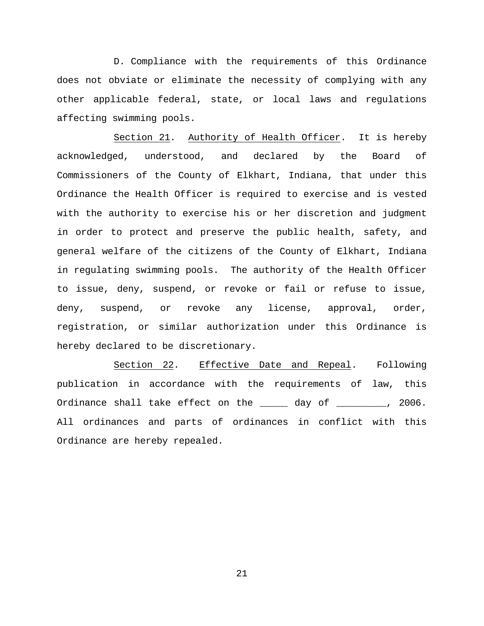D. Compliance with the requirements of this Ordinance does not obviate or eliminate the necessity of complying with any other applicable federal, state, or local laws and regulations affecting swimming pools.

 Section 21. Authority of Health Officer. It is hereby acknowledged, understood, and declared by the Board of Commissioners of the County of Elkhart, Indiana, that under this Ordinance the Health Officer is required to exercise and is vested with the authority to exercise his or her discretion and judgment in order to protect and preserve the public health, safety, and general welfare of the citizens of the County of Elkhart, Indiana in regulating swimming pools. The authority of the Health Officer to issue, deny, suspend, or revoke or fail or refuse to issue, deny, suspend, or revoke any license, approval, order, registration, or similar authorization under this Ordinance is hereby declared to be discretionary.

 Section 22. Effective Date and Repeal. Following publication in accordance with the requirements of law, this Ordinance shall take effect on the \_\_\_\_\_ day of \_\_\_\_\_\_\_\_, 2006. All ordinances and parts of ordinances in conflict with this Ordinance are hereby repealed.